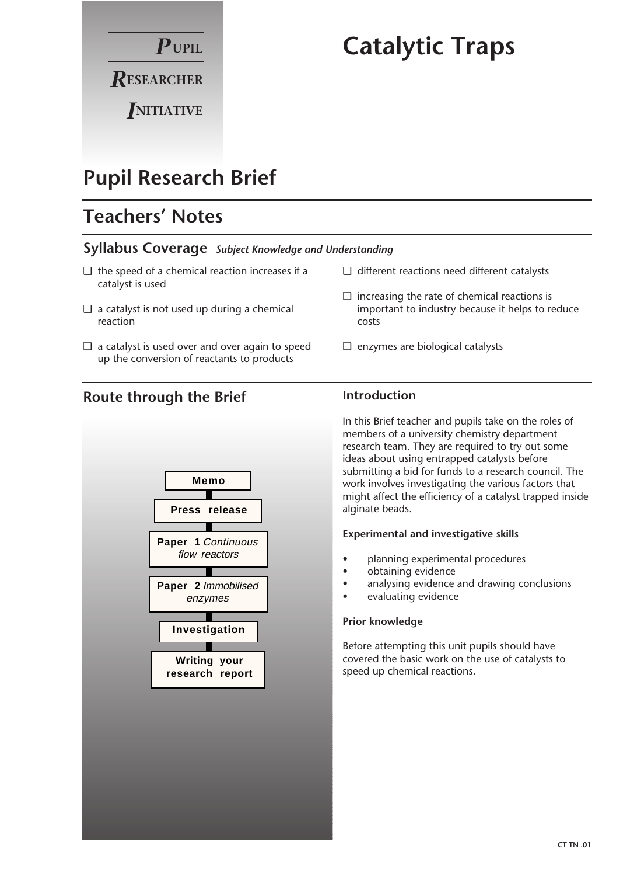

# **Catalytic Traps**

# **Pupil Research Brief**

# **Teachers' Notes**

### **Syllabus Coverage** *Subject Knowledge and Understanding*

- $\Box$  the speed of a chemical reaction increases if a catalyst is used
- $\Box$  a catalyst is not used up during a chemical reaction
- ❑ a catalyst is used over and over again to speed up the conversion of reactants to products
- ❑ different reactions need different catalysts
- $\Box$  increasing the rate of chemical reactions is important to industry because it helps to reduce costs
- ❑ enzymes are biological catalysts

## **Route through the Brief**



### **Introduction**

In this Brief teacher and pupils take on the roles of members of a university chemistry department research team. They are required to try out some ideas about using entrapped catalysts before submitting a bid for funds to a research council. The work involves investigating the various factors that might affect the efficiency of a catalyst trapped inside alginate beads.

#### **Experimental and investigative skills**

- planning experimental procedures
- obtaining evidence
- analysing evidence and drawing conclusions
- evaluating evidence

#### **Prior knowledge**

Before attempting this unit pupils should have covered the basic work on the use of catalysts to speed up chemical reactions.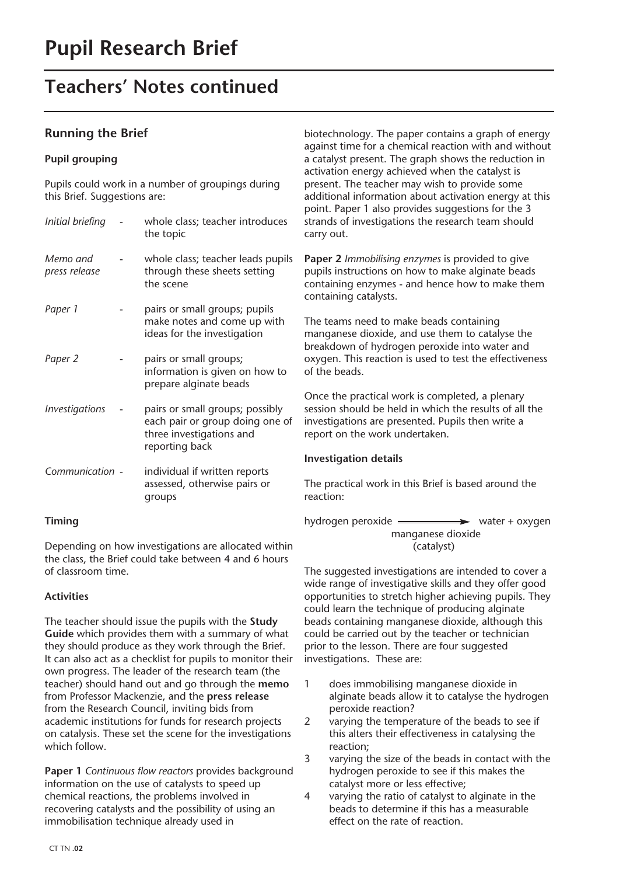# **Teachers' Notes continued**

### **Running the Brief**

#### **Pupil grouping**

Pupils could work in a number of groupings during this Brief. Suggestions are:

| Initial briefing                    | whole class; teacher introduces<br>the topic                                                                     |
|-------------------------------------|------------------------------------------------------------------------------------------------------------------|
| Memo and<br>press release           | whole class; teacher leads pupils<br>through these sheets setting<br>the scene                                   |
| Paper 1                             | pairs or small groups; pupils<br>make notes and come up with<br>ideas for the investigation                      |
| Paper 2                             | pairs or small groups;<br>information is given on how to<br>prepare alginate beads                               |
| <i><u><b>Investigations</b></u></i> | pairs or small groups; possibly<br>each pair or group doing one of<br>three investigations and<br>reporting back |
| Communication -                     | individual if written reports<br>assessed, otherwise pairs or<br>groups                                          |

#### **Timing**

Depending on how investigations are allocated within the class, the Brief could take between 4 and 6 hours of classroom time.

#### **Activities**

The teacher should issue the pupils with the **Study Guide** which provides them with a summary of what they should produce as they work through the Brief. It can also act as a checklist for pupils to monitor their own progress. The leader of the research team (the teacher) should hand out and go through the **memo** from Professor Mackenzie, and the **press release** from the Research Council, inviting bids from academic institutions for funds for research projects on catalysis. These set the scene for the investigations which follow.

**Paper 1** *Continuous flow reactors* provides background information on the use of catalysts to speed up chemical reactions, the problems involved in recovering catalysts and the possibility of using an immobilisation technique already used in

biotechnology. The paper contains a graph of energy against time for a chemical reaction with and without a catalyst present. The graph shows the reduction in activation energy achieved when the catalyst is present. The teacher may wish to provide some additional information about activation energy at this point. Paper 1 also provides suggestions for the 3 strands of investigations the research team should carry out.

**Paper 2** *Immobilising enzymes* is provided to give pupils instructions on how to make alginate beads containing enzymes - and hence how to make them containing catalysts.

The teams need to make beads containing manganese dioxide, and use them to catalyse the breakdown of hydrogen peroxide into water and oxygen. This reaction is used to test the effectiveness of the beads.

Once the practical work is completed, a plenary session should be held in which the results of all the investigations are presented. Pupils then write a report on the work undertaken.

#### **Investigation details**

The practical work in this Brief is based around the reaction:

hydrogen peroxide water + oxygen manganese dioxide (catalyst)

The suggested investigations are intended to cover a wide range of investigative skills and they offer good opportunities to stretch higher achieving pupils. They could learn the technique of producing alginate beads containing manganese dioxide, although this could be carried out by the teacher or technician prior to the lesson. There are four suggested investigations. These are:

- 1 does immobilising manganese dioxide in alginate beads allow it to catalyse the hydrogen peroxide reaction?
- 2 varying the temperature of the beads to see if this alters their effectiveness in catalysing the reaction;
- 3 varying the size of the beads in contact with the hydrogen peroxide to see if this makes the catalyst more or less effective;
- 4 varying the ratio of catalyst to alginate in the beads to determine if this has a measurable effect on the rate of reaction.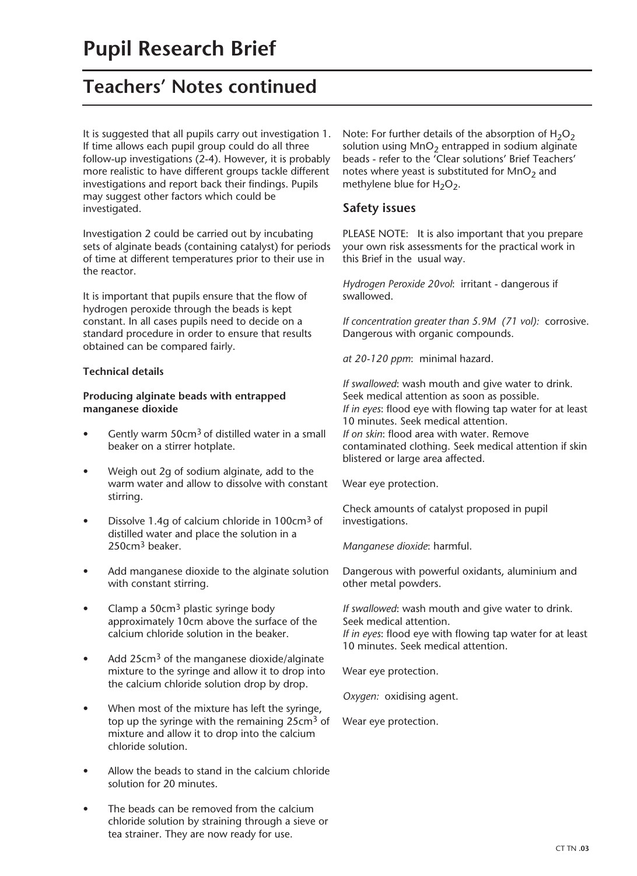# **Teachers' Notes continued**

It is suggested that all pupils carry out investigation 1. If time allows each pupil group could do all three follow-up investigations (2-4). However, it is probably more realistic to have different groups tackle different investigations and report back their findings. Pupils may suggest other factors which could be investigated.

Investigation 2 could be carried out by incubating sets of alginate beads (containing catalyst) for periods of time at different temperatures prior to their use in the reactor.

It is important that pupils ensure that the flow of hydrogen peroxide through the beads is kept constant. In all cases pupils need to decide on a standard procedure in order to ensure that results obtained can be compared fairly.

#### **Technical details**

#### **Producing alginate beads with entrapped manganese dioxide**

- Gently warm 50cm<sup>3</sup> of distilled water in a small beaker on a stirrer hotplate.
- Weigh out 2g of sodium alginate, add to the warm water and allow to dissolve with constant stirring.
- Dissolve 1.4g of calcium chloride in  $100 \text{cm}^3$  of distilled water and place the solution in a 250cm<sup>3</sup> beaker.
- Add manganese dioxide to the alginate solution with constant stirring.
- Clamp a 50cm<sup>3</sup> plastic syringe body approximately 10cm above the surface of the calcium chloride solution in the beaker.
- Add 25cm<sup>3</sup> of the manganese dioxide/alginate mixture to the syringe and allow it to drop into the calcium chloride solution drop by drop.
- When most of the mixture has left the syringe, top up the syringe with the remaining 25cm<sup>3</sup> of mixture and allow it to drop into the calcium chloride solution.
- Allow the beads to stand in the calcium chloride solution for 20 minutes.
- The beads can be removed from the calcium chloride solution by straining through a sieve or tea strainer. They are now ready for use.

Note: For further details of the absorption of  $H_2O_2$ solution using  $MnO<sub>2</sub>$  entrapped in sodium alginate beads - refer to the 'Clear solutions' Brief Teachers' notes where yeast is substituted for  $MnO<sub>2</sub>$  and methylene blue for  $H_2O_2$ .

### **Safety issues**

PLEASE NOTE: It is also important that you prepare your own risk assessments for the practical work in this Brief in the usual way.

*Hydrogen Peroxide 20vol*: irritant - dangerous if swallowed.

*If concentration greater than 5.9M (71 vol):* corrosive. Dangerous with organic compounds.

*at 20-120 ppm*: minimal hazard.

*If swallowed*: wash mouth and give water to drink. Seek medical attention as soon as possible. *If in eyes*: flood eye with flowing tap water for at least 10 minutes. Seek medical attention. *If on skin*: flood area with water. Remove contaminated clothing. Seek medical attention if skin blistered or large area affected.

Wear eye protection.

Check amounts of catalyst proposed in pupil investigations.

*Manganese dioxide*: harmful.

Dangerous with powerful oxidants, aluminium and other metal powders.

*If swallowed*: wash mouth and give water to drink. Seek medical attention. *If in eyes*: flood eye with flowing tap water for at least 10 minutes. Seek medical attention.

Wear eye protection.

*Oxygen:* oxidising agent.

Wear eye protection.